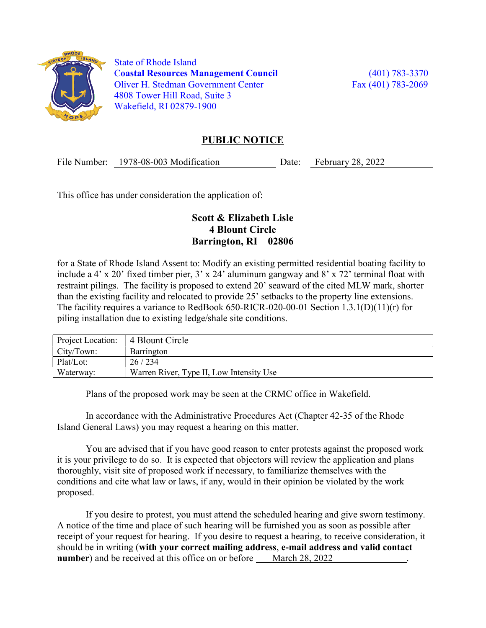

 State of Rhode Island Coastal Resources Management Council (401) 783-3370 Oliver H. Stedman Government Center Fax (401) 783-2069 4808 Tower Hill Road, Suite 3 Wakefield, RI 02879-1900

## PUBLIC NOTICE

File Number: 1978-08-003 Modification Date: February 28, 2022

This office has under consideration the application of:

## Scott & Elizabeth Lisle 4 Blount Circle Barrington, RI 02806

for a State of Rhode Island Assent to: Modify an existing permitted residential boating facility to include a 4' x 20' fixed timber pier, 3' x 24' aluminum gangway and 8' x 72' terminal float with restraint pilings. The facility is proposed to extend 20' seaward of the cited MLW mark, shorter than the existing facility and relocated to provide 25' setbacks to the property line extensions. The facility requires a variance to RedBook 650-RICR-020-00-01 Section 1.3.1(D)(11)(r) for piling installation due to existing ledge/shale site conditions.

| Project Location: | 4 Blount Circle                          |
|-------------------|------------------------------------------|
| City/Town:        | Barrington                               |
| Plat/Lot:         | 26/234                                   |
| Waterway:         | Warren River, Type II, Low Intensity Use |

Plans of the proposed work may be seen at the CRMC office in Wakefield.

In accordance with the Administrative Procedures Act (Chapter 42-35 of the Rhode Island General Laws) you may request a hearing on this matter.

You are advised that if you have good reason to enter protests against the proposed work it is your privilege to do so. It is expected that objectors will review the application and plans thoroughly, visit site of proposed work if necessary, to familiarize themselves with the conditions and cite what law or laws, if any, would in their opinion be violated by the work proposed.

If you desire to protest, you must attend the scheduled hearing and give sworn testimony. A notice of the time and place of such hearing will be furnished you as soon as possible after receipt of your request for hearing. If you desire to request a hearing, to receive consideration, it should be in writing (with your correct mailing address, e-mail address and valid contact number) and be received at this office on or before March 28, 2022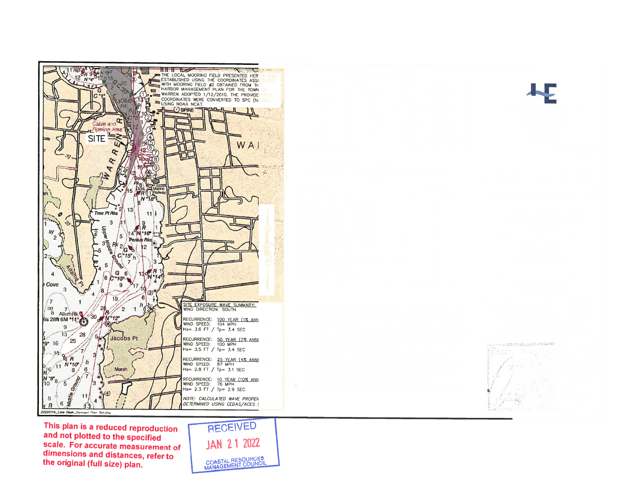

and not plotted to the specified scale. For accurate measurement of dimensions and distances, refer to the original (full size) plan.

**JAN 21 2022** COASTAL RESOURCES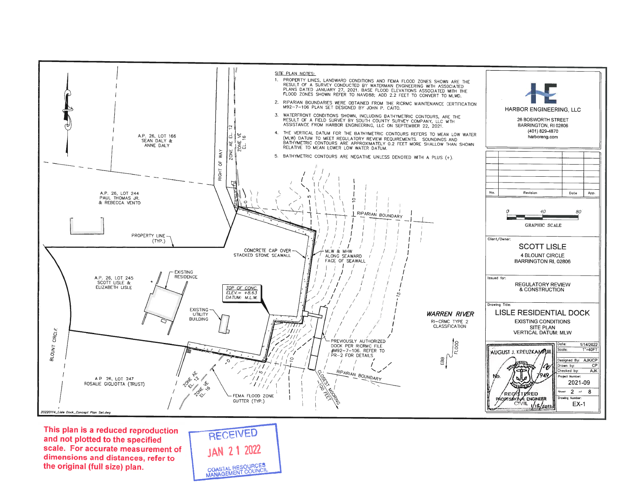

RECEIVED **JAN 21 2022** COASTAL RESOURCES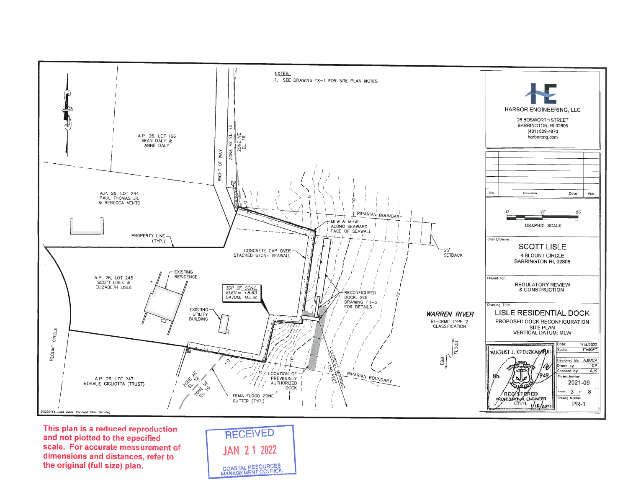

RECEIVED **JAN 21 2022** COASTAL RESOURCES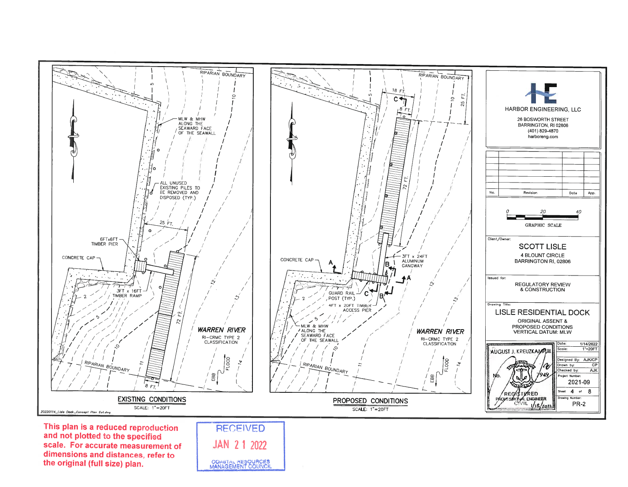

scale. For accurate measurement of dimensions and distances, refer to the original (full size) plan.

**JAN 21 2022** COASTAL RESOURCES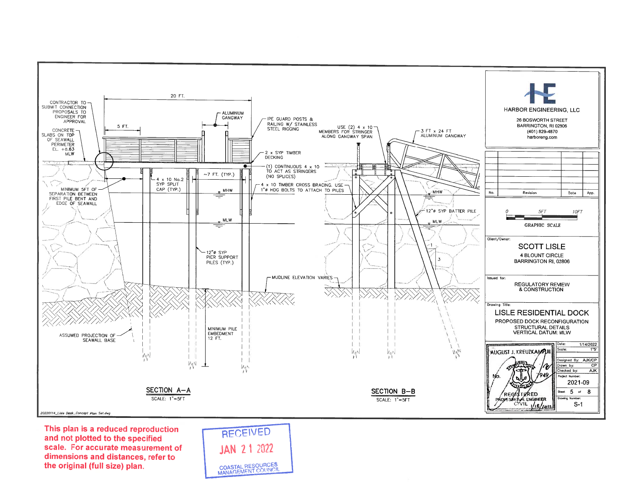

RECEIVED **JAN 21 2022** COASTAL RESOURCES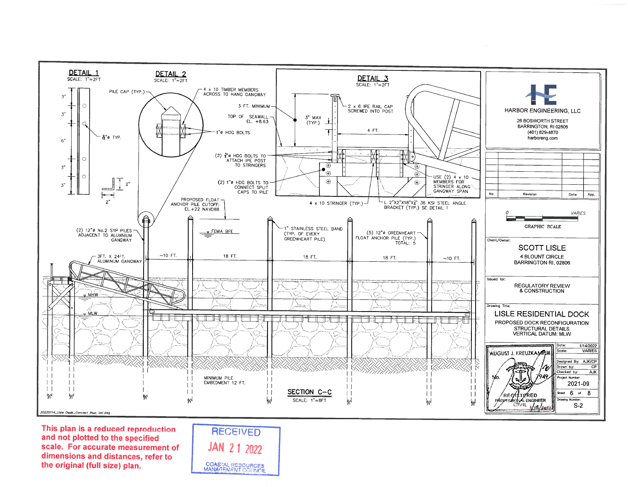

RECEIVED **JAN 21 2022 COASTAL RESOURCES**<br>MANAGEMENT COUNCIL